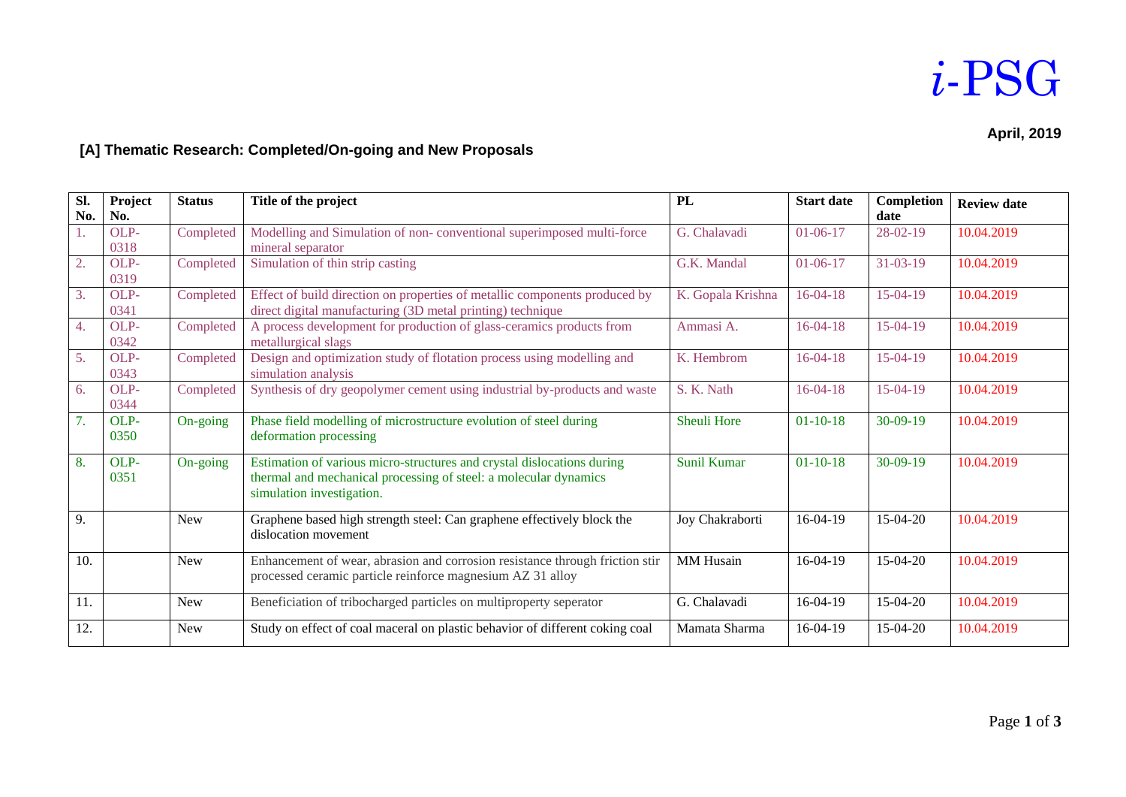## *i*-PSG

#### **April, 2019**

### **[A] Thematic Research: Completed/On-going and New Proposals**

| SI. | Project | <b>Status</b> | Title of the project                                                         | <b>PL</b>          | <b>Start date</b> | Completion     | <b>Review date</b> |
|-----|---------|---------------|------------------------------------------------------------------------------|--------------------|-------------------|----------------|--------------------|
| No. | No.     |               |                                                                              |                    |                   | date           |                    |
|     | OLP-    | Completed     | Modelling and Simulation of non-conventional superimposed multi-force        | G. Chalavadi       | $01-06-17$        | $28-02-19$     | 10.04.2019         |
|     | 0318    |               | mineral separator                                                            |                    |                   |                |                    |
| 2.  | OLP-    | Completed     | Simulation of thin strip casting                                             | G.K. Mandal        | $01-06-17$        | $31 - 03 - 19$ | 10.04.2019         |
|     | 0319    |               |                                                                              |                    |                   |                |                    |
| 3.  | OLP-    | Completed     | Effect of build direction on properties of metallic components produced by   | K. Gopala Krishna  | $16-04-18$        | $15-04-19$     | 10.04.2019         |
|     | 0341    |               | direct digital manufacturing (3D metal printing) technique                   |                    |                   |                |                    |
| 4.  | OLP-    | Completed     | A process development for production of glass-ceramics products from         | Ammasi A.          | $16-04-18$        | $15-04-19$     | 10.04.2019         |
|     | 0342    |               | metallurgical slags                                                          |                    |                   |                |                    |
| 5.  | OLP-    | Completed     | Design and optimization study of flotation process using modelling and       | K. Hembrom         | $16-04-18$        | $15-04-19$     | 10.04.2019         |
|     | 0343    |               | simulation analysis                                                          |                    |                   |                |                    |
| 6.  | OLP-    | Completed     | Synthesis of dry geopolymer cement using industrial by-products and waste    | S. K. Nath         | $16-04-18$        | $15-04-19$     | 10.04.2019         |
|     | 0344    |               |                                                                              |                    |                   |                |                    |
| 7.  | OLP-    | On-going      | Phase field modelling of microstructure evolution of steel during            | <b>Sheuli Hore</b> | $01-10-18$        | $30-09-19$     | 10.04.2019         |
|     |         |               | deformation processing                                                       |                    |                   |                |                    |
|     | 0350    |               |                                                                              |                    |                   |                |                    |
| 8.  | OLP-    | On-going      | Estimation of various micro-structures and crystal dislocations during       | <b>Sunil Kumar</b> | $01-10-18$        | $30-09-19$     | 10.04.2019         |
|     | 0351    |               | thermal and mechanical processing of steel: a molecular dynamics             |                    |                   |                |                    |
|     |         |               | simulation investigation.                                                    |                    |                   |                |                    |
|     |         |               |                                                                              |                    |                   |                |                    |
| 9.  |         | <b>New</b>    | Graphene based high strength steel: Can graphene effectively block the       | Joy Chakraborti    | $16-04-19$        | 15-04-20       | 10.04.2019         |
|     |         |               | dislocation movement                                                         |                    |                   |                |                    |
|     |         |               |                                                                              |                    |                   |                |                    |
| 10. |         | New           | Enhancement of wear, abrasion and corrosion resistance through friction stir | <b>MM</b> Husain   | $16-04-19$        | 15-04-20       | 10.04.2019         |
|     |         |               | processed ceramic particle reinforce magnesium AZ 31 alloy                   |                    |                   |                |                    |
|     |         |               |                                                                              |                    |                   |                |                    |
| 11. |         | <b>New</b>    | Beneficiation of tribocharged particles on multiproperty seperator           | G. Chalavadi       | 16-04-19          | $15-04-20$     | 10.04.2019         |
| 12. |         | New           | Study on effect of coal maceral on plastic behavior of different coking coal | Mamata Sharma      | 16-04-19          | 15-04-20       | 10.04.2019         |
|     |         |               |                                                                              |                    |                   |                |                    |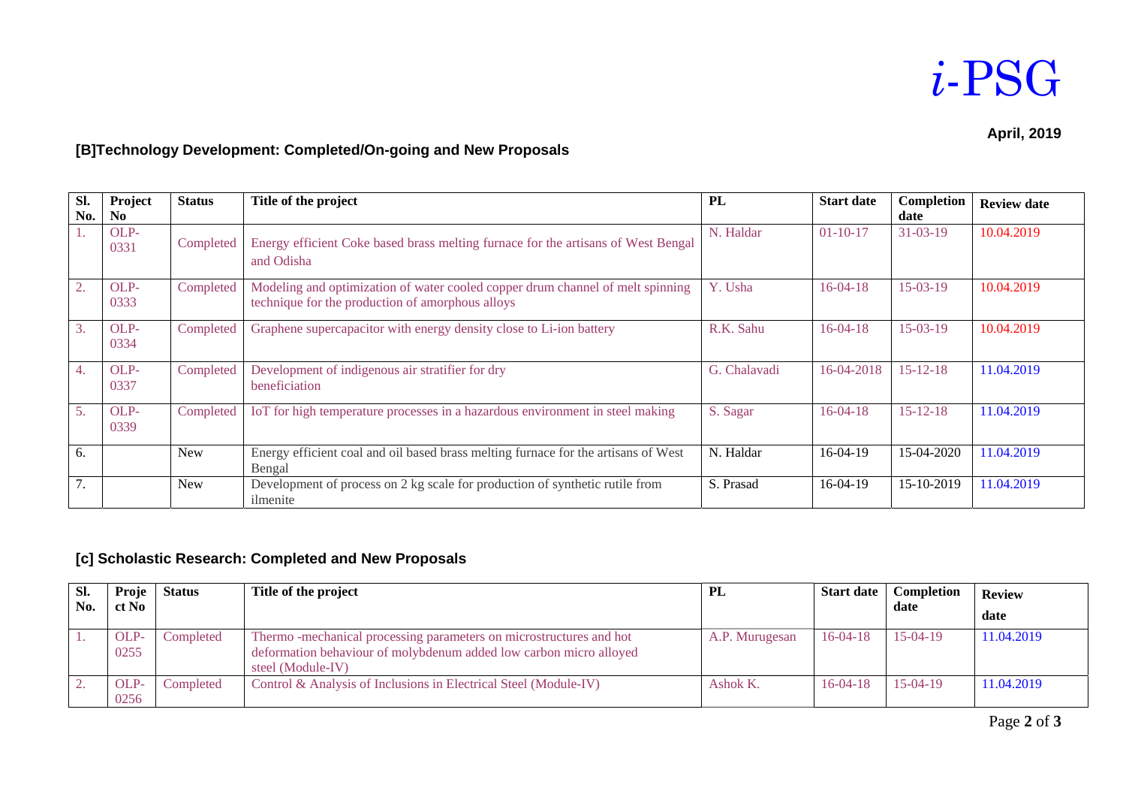### *i*-PSG

#### **April, 2019**

#### **[B]Technology Development: Completed/On-going and New Proposals**

| SI.<br>No.       | Project<br>N <sub>0</sub> | <b>Status</b> | Title of the project                                                                                                               | PL           | <b>Start date</b> | Completion<br>date | <b>Review date</b> |
|------------------|---------------------------|---------------|------------------------------------------------------------------------------------------------------------------------------------|--------------|-------------------|--------------------|--------------------|
|                  | OLP-<br>0331              | Completed     | Energy efficient Coke based brass melting furnace for the artisans of West Bengal<br>and Odisha                                    | N. Haldar    | $01-10-17$        | $31 - 03 - 19$     | 10.04.2019         |
| 2.               | OLP-<br>0333              | Completed     | Modeling and optimization of water cooled copper drum channel of melt spinning<br>technique for the production of amorphous alloys | Y. Usha      | $16 - 04 - 18$    | $15-03-19$         | 10.04.2019         |
| 3.               | OLP-<br>0334              | Completed     | Graphene supercapacitor with energy density close to Li-ion battery                                                                | R.K. Sahu    | $16-04-18$        | $15-03-19$         | 10.04.2019         |
| $\overline{4}$ . | OLP-<br>0337              | Completed     | Development of indigenous air stratifier for dry<br>beneficiation                                                                  | G. Chalavadi | 16-04-2018        | $15 - 12 - 18$     | 11.04.2019         |
| 5 <sub>1</sub>   | OLP-<br>0339              | Completed     | IoT for high temperature processes in a hazardous environment in steel making                                                      | S. Sagar     | $16-04-18$        | $15 - 12 - 18$     | 11.04.2019         |
| 6.               |                           | <b>New</b>    | Energy efficient coal and oil based brass melting furnace for the artisans of West<br>Bengal                                       | N. Haldar    | $16-04-19$        | 15-04-2020         | 11.04.2019         |
| 7.               |                           | <b>New</b>    | Development of process on 2 kg scale for production of synthetic rutile from<br>ilmenite                                           | S. Prasad    | $16-04-19$        | 15-10-2019         | 11.04.2019         |

#### **[c] Scholastic Research: Completed and New Proposals**

| SI. | Proje        | <b>Status</b> | Title of the project                                                                                                                                          | PL             | <b>Start date</b> | Completion | <b>Review</b> |
|-----|--------------|---------------|---------------------------------------------------------------------------------------------------------------------------------------------------------------|----------------|-------------------|------------|---------------|
| No. | ct No        |               |                                                                                                                                                               |                |                   | date       | date          |
|     | OLP-<br>0255 | Completed     | Thermo-mechanical processing parameters on microstructures and hot<br>deformation behaviour of molybdenum added low carbon micro alloyed<br>steel (Module-IV) | A.P. Murugesan | $16-04-18$        | $15-04-19$ | 11.04.2019    |
|     | OLP-<br>0256 | Completed     | Control & Analysis of Inclusions in Electrical Steel (Module-IV)                                                                                              | Ashok K.       | $16-04-18$        | $15-04-19$ | 11.04.2019    |